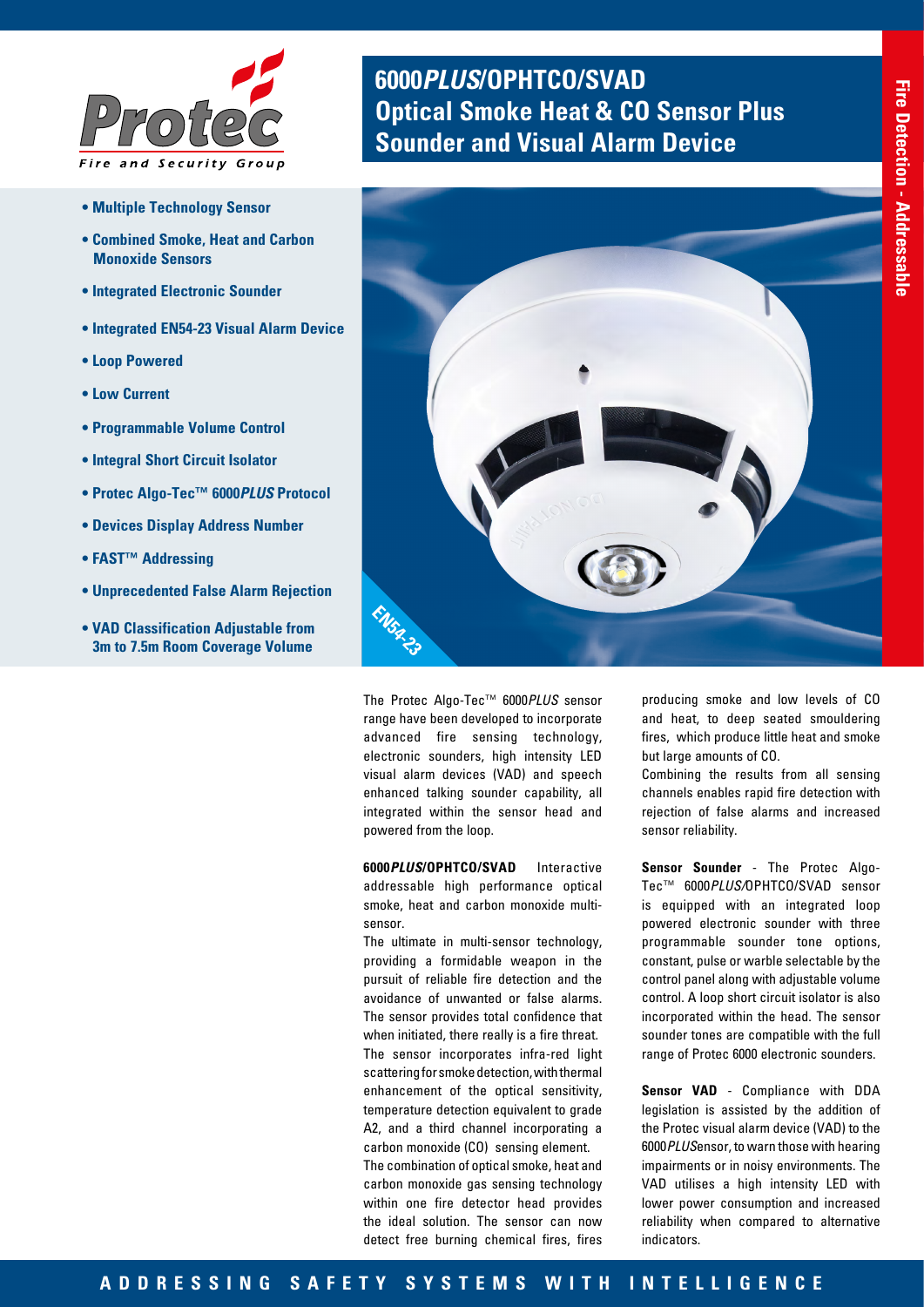

- **Multiple Technology Sensor**
- **Combined Smoke, Heat and Carbon Monoxide Sensors**
- **Integrated Electronic Sounder**
- **Integrated EN54-23 Visual Alarm Device**
- **Loop Powered**
- **Low Current**
- **Programmable Volume Control**
- **Integral Short Circuit Isolator**
- **Protec Algo-Tec™ 6000***PLUS* **Protocol**
- **Devices Display Address Number**
- **FAST™ Addressing**
- **Unprecedented False Alarm Rejection**
- **VAD Classification Adjustable from 3m to 7.5m Room Coverage Volume**

# **6000***PLUS***/OPHTCO/SVAD Optical Smoke Heat & CO Sensor Plus Sounder and Visual Alarm Device**



The Protec Algo-Tec™ 6000*PLUS* sensor range have been developed to incorporate advanced fire sensing technology, electronic sounders, high intensity LED visual alarm devices (VAD) and speech enhanced talking sounder capability, all integrated within the sensor head and powered from the loop.

**6000***PLUS***/OPHTCO/SVAD** Interactive addressable high performance optical smoke, heat and carbon monoxide multisensor.

The ultimate in multi-sensor technology, providing a formidable weapon in the pursuit of reliable fire detection and the avoidance of unwanted or false alarms. The sensor provides total confidence that when initiated, there really is a fire threat. The sensor incorporates infra-red light scattering for smoke detection, with thermal enhancement of the optical sensitivity, temperature detection equivalent to grade A2, and a third channel incorporating a carbon monoxide (CO) sensing element. The combination of optical smoke, heat and

carbon monoxide gas sensing technology within one fire detector head provides the ideal solution. The sensor can now detect free burning chemical fires, fires

producing smoke and low levels of CO and heat, to deep seated smouldering fires, which produce little heat and smoke but large amounts of CO.

Combining the results from all sensing channels enables rapid fire detection with rejection of false alarms and increased sensor reliability.

**Sensor Sounder** - The Protec Algo-Tec™ 6000*PLUS/*OPHTCO/SVAD sensor is equipped with an integrated loop powered electronic sounder with three programmable sounder tone options, constant, pulse or warble selectable by the control panel along with adjustable volume control. A loop short circuit isolator is also incorporated within the head. The sensor sounder tones are compatible with the full range of Protec 6000 electronic sounders.

**Sensor VAD** - Compliance with DDA legislation is assisted by the addition of the Protec visual alarm device (VAD) to the 6000*PLUS*ensor, to warn those with hearing impairments or in noisy environments. The VAD utilises a high intensity LED with lower power consumption and increased reliability when compared to alternative indicators.